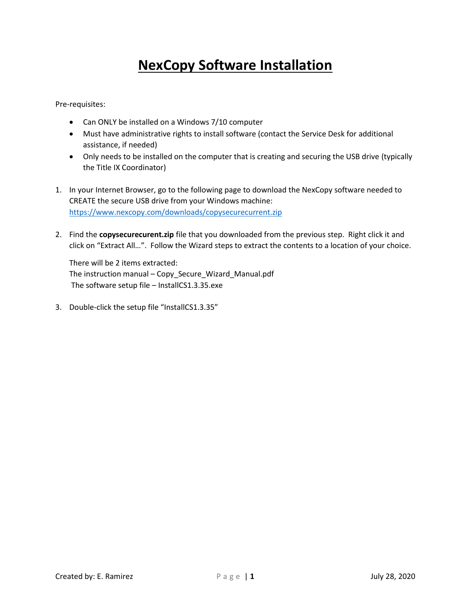## **NexCopy Software Installation**

Pre-requisites:

- Can ONLY be installed on a Windows 7/10 computer
- Must have administrative rights to install software (contact the Service Desk for additional assistance, if needed)
- Only needs to be installed on the computer that is creating and securing the USB drive (typically the Title IX Coordinator)
- CREATE the secure USB drive from your Windows machine: 1. In your Internet Browser, go to the following page to download the NexCopy software needed to https://www.nexcopy.com/downloads/copysecurecurrent.zip
- click on "Extract All…". Follow the Wizard steps to extract the contents to a location of your choice. 2. Find the **copysecurecurent.zip** file that you downloaded from the previous step. Right click it and

There will be 2 items extracted: The instruction manual – Copy\_Secure\_Wizard\_Manual.pdf The software setup file – InstallCS1.3.35.exe

3. Double-click the setup file "InstallCS1.3.35"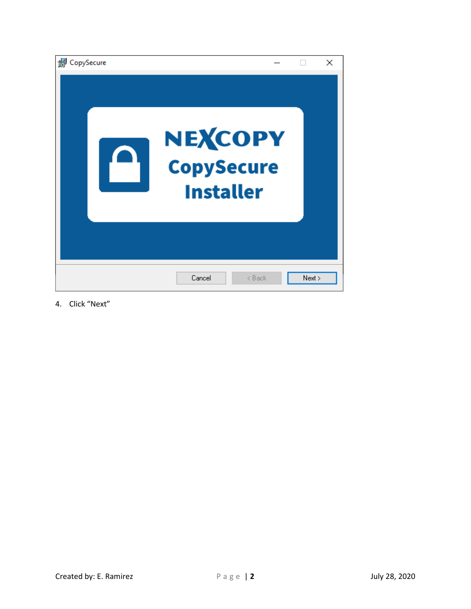| CopySecure |                                                  |        | $\times$ |
|------------|--------------------------------------------------|--------|----------|
|            | NEXCOPY<br><b>CopySecure</b><br><b>Installer</b> |        |          |
|            | Cancel<br>< Back                                 | Next > |          |

4. Click "Next"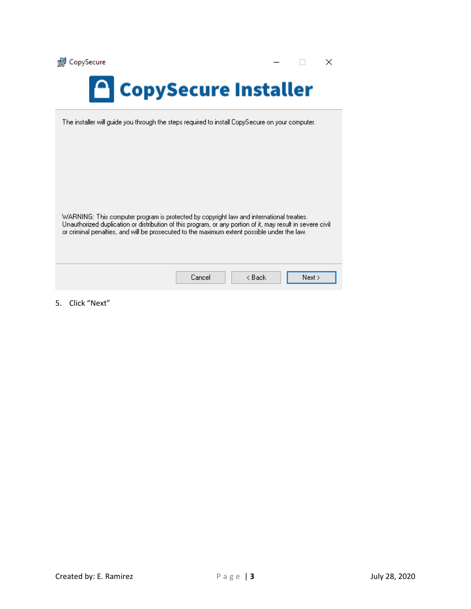

 $\times$  $\Box$ 

## **CopySecure Installer**

The installer will guide you through the steps required to install CopySecure on your computer.

WARNING: This computer program is protected by copyright law and international treaties. Unauthorized duplication or distribution of this program, or any portion of it, may result in severe civil or criminal penalties, and will be prosecuted to the maximum extent possible under the law.

| Cancell | Back | Next > |  |
|---------|------|--------|--|
|         |      |        |  |

5. Click "Next"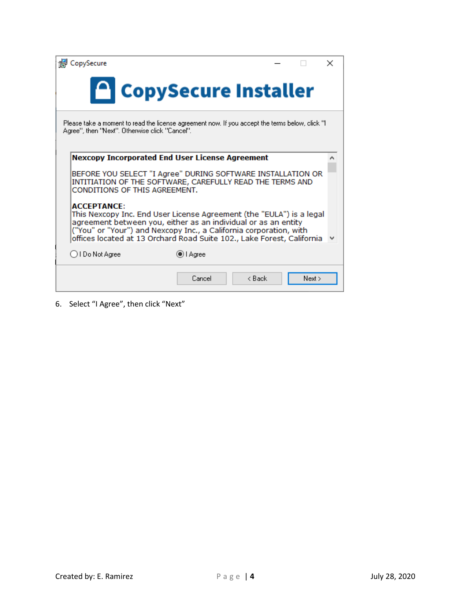| CopySecure                                                                                                                                                                                                                                                                                                   |                      |        |        | $\times$ |
|--------------------------------------------------------------------------------------------------------------------------------------------------------------------------------------------------------------------------------------------------------------------------------------------------------------|----------------------|--------|--------|----------|
|                                                                                                                                                                                                                                                                                                              | CopySecure Installer |        |        |          |
| Please take a moment to read the license agreement now. If you accept the terms below, click "I<br>Agree'', then "Next". Otherwise click "Cancel".                                                                                                                                                           |                      |        |        |          |
|                                                                                                                                                                                                                                                                                                              |                      |        |        |          |
| <b>Nexcopy Incorporated End User License Agreement</b>                                                                                                                                                                                                                                                       |                      |        |        |          |
| BEFORE YOU SELECT "I Agree" DURING SOFTWARE INSTALLATION OR<br>INTITIATION OF THE SOFTWARE, CAREFULLY READ THE TERMS AND<br>CONDITIONS OF THIS AGREEMENT.                                                                                                                                                    |                      |        |        |          |
| <b>ACCEPTANCE:</b><br>This Nexcopy Inc. End User License Agreement (the "EULA") is a legal<br>agreement between you, either as an individual or as an entity<br>("You" or "Your") and Nexcopy Inc., a California corporation, with<br>offices located at 13 Orchard Road Suite 102., Lake Forest, California |                      |        |        |          |
| ◯ I Do Not Agree                                                                                                                                                                                                                                                                                             | i Agree              |        |        |          |
|                                                                                                                                                                                                                                                                                                              | Cancel               | < Back | Next > |          |

6. Select "I Agree", then click "Next"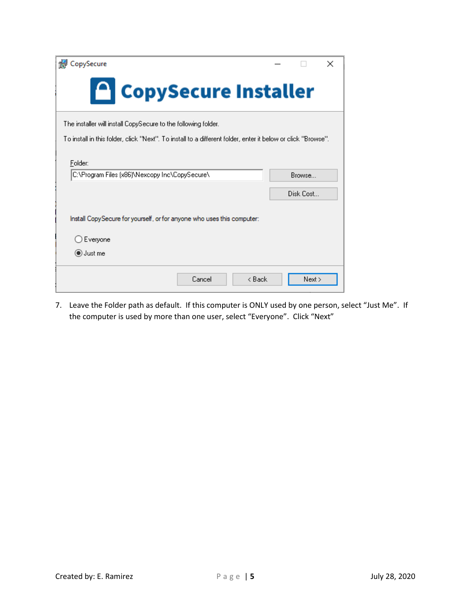| CopySecure                                                                                                   |           | $\times$ |
|--------------------------------------------------------------------------------------------------------------|-----------|----------|
| CopySecure Installer                                                                                         |           |          |
| The installer will install CopySecure to the following folder.                                               |           |          |
| To install in this folder, click "Next". To install to a different folder, enter it below or click "Browse". |           |          |
| Folder:                                                                                                      |           |          |
| C:\Program Files (x86)\Nexcopy Inc\CopySecure\                                                               | Browse    |          |
|                                                                                                              | Disk Cost |          |
| Install Copy Secure for yourself, or for anyone who uses this computer:                                      |           |          |
| Everyone                                                                                                     |           |          |
| ◉ Just me                                                                                                    |           |          |
| Cancel<br>< Back                                                                                             | Next      |          |

 the computer is used by more than one user, select "Everyone". Click "Next" 7. Leave the Folder path as default. If this computer is ONLY used by one person, select "Just Me". If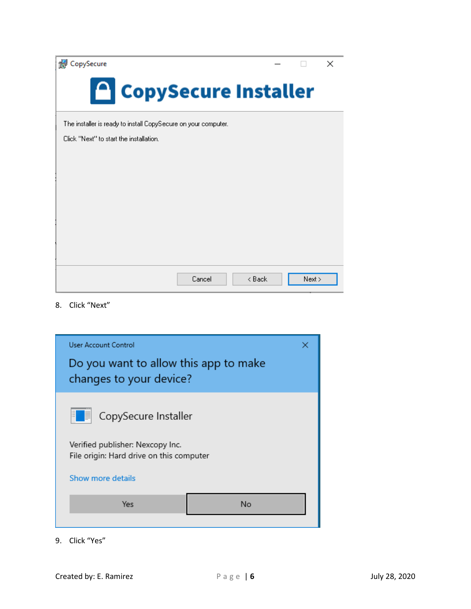CopySecure

| <b>R</b> CopySecure                                            |        |        |        | $\times$ |
|----------------------------------------------------------------|--------|--------|--------|----------|
| CopySecure Installer                                           |        |        |        |          |
| The installer is ready to install CopySecure on your computer. |        |        |        |          |
| Click "Next" to start the installation.                        |        |        |        |          |
|                                                                |        |        |        |          |
|                                                                |        |        |        |          |
|                                                                |        |        |        |          |
|                                                                |        |        |        |          |
|                                                                |        |        |        |          |
|                                                                |        |        |        |          |
|                                                                |        |        |        |          |
|                                                                | Cancel | < Back | Next > |          |

8. Click "Next"



9. Click "Yes"